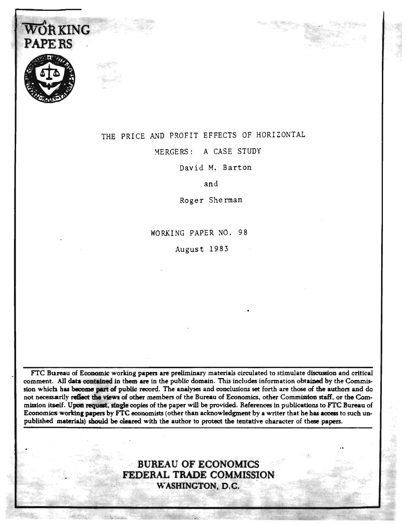

**WORKING** 

## THE PRICE AND PROFIT EFFECTS OF HORIZONTAL

r-------------- ----- --~ ... -.. "'-- -.

MERGERS: A CASE STUDY

David M. Barton

and

Roger Sherman

WORKING PAPER NO. 98

August 1983

FTC Bureau of Economic working papers are preliminary materials circulated to stimulate discussion and critical comment. All data contained in them are in the public domain. This includes information obtained by the Commission which has become part of public record. The analyses and conclusions set forth are those of the authors and do not necessarily reflect the views of other members of the Bureau of Economics, other Commission staff, or the Commission itself. Upon request, single copies of the paper will be provided. References in publications to FTC Bureau of Economics working papers by FTC economists (other than acknowledgment by a writer that he has access to such unpublished materials) should be cleared with the author to protect the tentative character of these papers.

## BUREAU OF ECONOMICS FEDERAL TRADE COMMISSION WASHINGTON, D.C.

...

 $\alpha$  is a signal  $\alpha$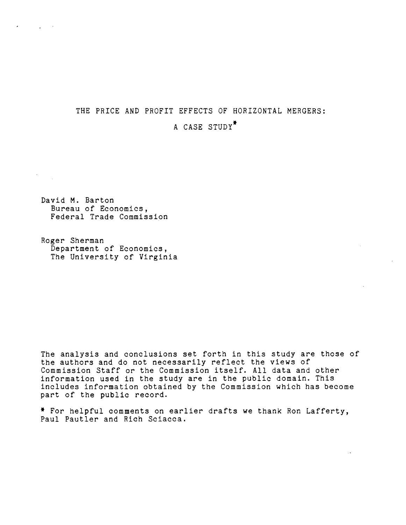# THE PRICE AND PROFIT EFFECTS OF HORIZONTAL MERGERS:

## A CASE STUDY\*

David M. Barton Bureau of Economies, Federal Trade Commission

 $\label{eq:2.1} \sigma_{\rm{max}} = \frac{1}{\sqrt{2\pi}}\left(\frac{1}{\sqrt{2\pi}}\right)^{1/2} \left(\frac{1}{\sqrt{2\pi}}\right)^{1/2}$ 

 $\frac{1}{2} \sum_{i=1}^n \frac{1}{2} \sum_{j=1}^n \frac{1}{2} \sum_{j=1}^n \frac{1}{2} \sum_{j=1}^n \frac{1}{2} \sum_{j=1}^n \frac{1}{2} \sum_{j=1}^n \frac{1}{2} \sum_{j=1}^n \frac{1}{2} \sum_{j=1}^n \frac{1}{2} \sum_{j=1}^n \frac{1}{2} \sum_{j=1}^n \frac{1}{2} \sum_{j=1}^n \frac{1}{2} \sum_{j=1}^n \frac{1}{2} \sum_{j=1}^n \frac{1}{2} \sum_{j=$ 

Roger Sherman Department of Economics, The University of Virginia

The analysis and conclusions set forth in this study are those of the authors and do not necessarily reflect the views of ine authors and do not necessarily reliect the views of<br>Commission Staff or the Commission itself. All data and other information used in the study are in the public domain. This includes information obtained by the Commission which has become part of the public record.

\* For helpful comments on earlier drafts we thank Ron Lafferty, Paul Pautler and Rich Sciacca.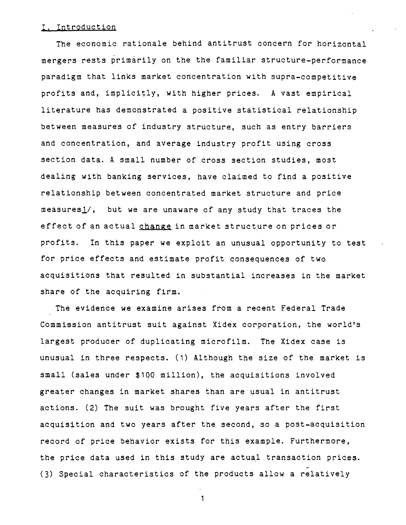## I. Introduction

The economic rationale behind antitrust concern for horizontal mergers rests primarily on the the familiar structure-performance paradigm that links market concentration with supra-competitive profits and, implicitly, with higher prices. A vast empirical literature has demonstrated a positive statistical relationship between measures of industry structure, such as entry barriers and concentration, and average industry profit using cross section data. A small number of cross section studies, most dealing with banking services, have claimed to find a positive relationship between concentrated market structure and price  $measures_1/$ , but we are unaware of any study that traces the effect of an actual change in market structure on prices or profits. In this paper we exploit an unusual opportunity to test for price effects and estimate profit consequences of two acquisitions that resulted in substantial increases in the market share of the acquiring firm.

The evidence we examine arises from a recent Federal Trade Commission antitrust suit against Xidex corporation, the world's largest producer of duplicating microfilm. The Xidex case is unusual in three respects. (1) Although the size of the market is small (sales under \$100 million), the acquisitions involved greater changes in market shares than are usual in antitrust actions. (2) The suit was brought five years after the first acquisition and two years after the second, so a post-acquisition record of price behavior exists for this example. Furthermore, the price data used in this study are actual transaction prices. (3) Special characteristics of the products allow a relatively

 $\mathbf{1}$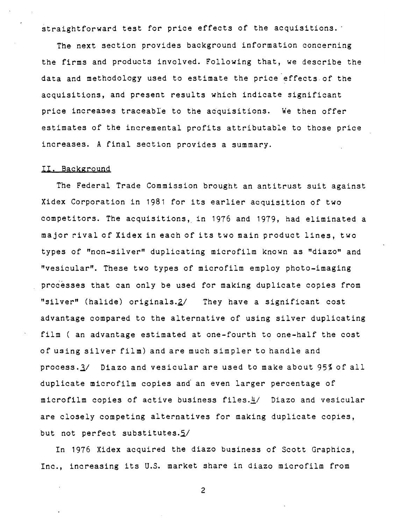straightforward test for price effects of the acquisitions.

The next section provides background information concerning the firms and products involved. Following that, we describe the data and methodology used to estimate the price effects.of the acquisitions, and present results which indicate significant price increases traceable to the acquisitions. We then offer estimates of the incremental profits attributable to those price increases. A final section provides a summary.

### II. Background

The Federal Trade Commission brought an antitrust suit against Xidex Corporation in 1981 for its earlier acquisition of two competitors. The acquisitions, in 1976 and 1979, had eliminated a major rival of Xidex in each of its two main product lines, two types of "non-silver" duplicating microfilm known as "diazo" and "vesicular". These two types of microfilm employ photo-imaging processes that can only be used for making duplicate copies from "silver" (halide) originals. $2/$  They have a significant cost advantage compared to the alternative of using silver duplicating film ( an advantage estimated at one-fourth to one-half the cost of using silver film) and are much simpler to handle and process. 3/ Diazo and vesicular are used to make about 95% of all duplicate microfilm copies and an even larger percentage of microfilm copies of active business *files.!1* Diazo and vesicular are closely competing alternatives for making duplicate copies, but not perfect substitutes. $5/$ 

In 1976 Xidex acquired the diazo business of Scott Graphics, Inc., increasing its U.S. market share in diazo microfilm from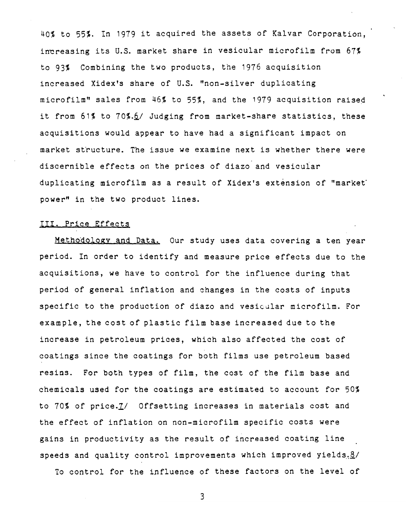40% to 55%. In 1979 it acquired the assets of Kalvar Corporation, increasing its U.S. market share in vesicular microfilm from 67% to 93% Combining the two products, the 1976 acquisition increased Xidex's share of U.S. "non-silver duplicating microfilm" sales from 46% to 55%, and the 1979 acquisition raised it from 61% to 70%.6/ Judging from market-share statistics, these acquisitions would appear to have had a significant impact on market structure. The issue we examine next is whether there were discernible effects on the prices of diazo and vesicular duplicating microfilm as a result of Xidex's extension of "market" power" in the two product lines.

## III. Price Effects

Metho401ogy and Data. Our study uses data covering a ten year period. In order to identify and measure price effects due to the acquisitions, we have to control for the influence during that period of general inflation and changes in the costs of inputs specific to the production of diazo and vesicular microfilm. For example, the cost of plastic film base increased due to the increase in petroleum prices, which also affected the cost of coatings since the coatings for both films use petroleum based resins. For both types of film, the cost of the film base and chemicals used for the coatings are estimated to account for 50% to 70% of price. I/ Offsetting increases in materials cost and the effect of inflation on non-microfilm specific costs were gains in productivity as the result of increased coating line speeds and quality control improvements which improved yields. $8/1$ 

To control for the influence of these factors on the level of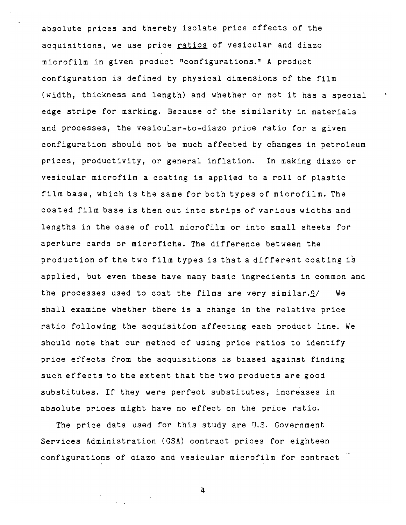absolute prices and thereby isolate price effects of the acquisitions, we use price ratios of vesicular and diazo microfilm in given product "configurations." A product configuration is defined by physical dimensions of the film (width, thickness and length) and whether or not it has a special edge stripe for marking. Because of the similarity in materials and processes, the vesicular-to-diazo price ratio for a given configuration should not be much affected by changes in petroleum prices, productivity, or general inflation. In making diazo or vesicular microfilm a coating is applied to a roll of plastic film base, which is the same for both types of microfilm. The coated film base is then cut into strips of various widths and lengths in the case of roll microfilm or into small sheets for aperture cards or microfiche. The difference between the production of the two film types is that a different coating is applied, but even these have many basic ingredients in common and the processes used to coat the films are very similar. $9/$  We shall examine whether there is a change in the relative price ratio following the acquisition affecting each product line. We should note that our method of using price ratios to identify price effects from the acquisitions is biased against finding such effects to the extent that the two products are good substitutes. If they were perfect substitutes, increases in absolute prices might have no effect on the price ratio.

The price data used for this study are U.S. Government Services Administration (GSA) contract prices for eighteen configurations of diazo and vesicular microfilm for contract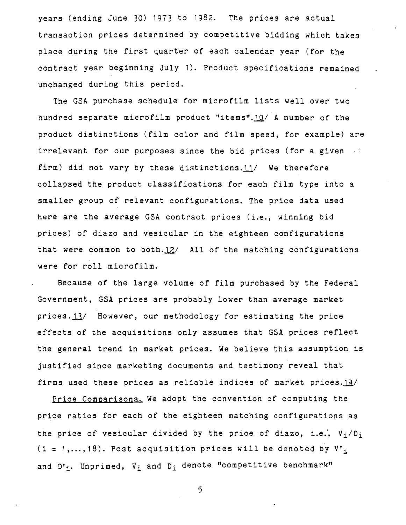years (ending June 30) 1973 to 1982. The prices are actual transaction prices determined by competitive bidding which takes place during the first quarter of each calendar year (for the contract year beginning July 1). Product specifications remained unchanged during this period.

The GSA purchase schedule for microfilm lists well over two hundred separate microfilm product "items".10/ A number of the product distinctions (film color and film speed, for example) are irrelevant for our purposes since the bid prices (for a given firm) did not vary by these distinctions.11/ We therefore collapsed the product classifications for each film type into a smaller group of relevant configurations. The price data used here are the average GSA contract prices (i.e., winning bid prices) of diazo and vesicular in the eighteen configurations that were common to both. $12/$  All of the matching configurations were for roll microfilm.

Because of the large volume of film purchased by the Federal Government, GSA prices are probably lower than average market prices. 13/ However, our methodology for estimating the price effects of the acquisitions only assumes that GSA prices reflect the general trend in market prices. We believe this assumption is justified since marketing documents and testimony reveal that firms used these prices as reliable indices of market prices. $14/$ 

Price Comparisons. We adopt the convention of computing the price ratios for each of the eighteen matching configurations as the price of vesicular divided by the price of diazo, i.e.,  $V_i/D_i$ (i = 1,..., 18). Post acquisition prices will be denoted by  $V_i$ and  $D^i{}_i$ . Unprimed,  $V_i$  and  $D_i$  denote "competitive benchmark"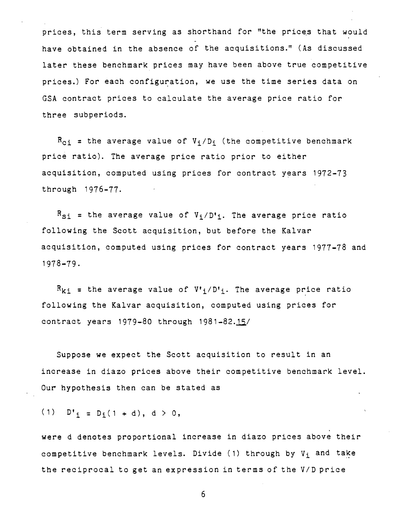prices, this term serving as shorthand for "the prices that would have obtained in the absence of the acquisitions." (As discussed later these benchmark prices may have been above true competitive prices.) For each configuration, we use the time series data on GSA contract prices to calculate the average price ratio for three subperiods.

 $R_{c,i}$  = the average value of  $V_i/D_i$  (the competitive benchmark price ratio). The average price ratio prior to either acquisition, computed using prices for contract years 1972-73 through 1976-77.

 $R_{SI}$  = the average value of  $V_i/D^i$ . The average price ratio following the Scott acquisition, but before the Kalvar acquisition, computed using prices for contract years 1977-78 and 1978-79.

 $R_{ki}$  = the average value of  $V^i$ ; /D';. The average price ratio following the Kalvar acquisition, computed using prices for contract years  $1979-80$  through  $1981-82.15/$ 

Suppose we expect the Scott acquisition to result in an increase in diazo prices above their competitive benchmark level. Our hypothesis then can be stated as

(1)  $D'_{i} = D_{i}(1 + d), d > 0,$ 

were d denotes proportional increase in diazo prices above their competitive benchmark levels. Divide (1) through by  $V_i$  and take the reciprocal to get an expression in terms of the V/D price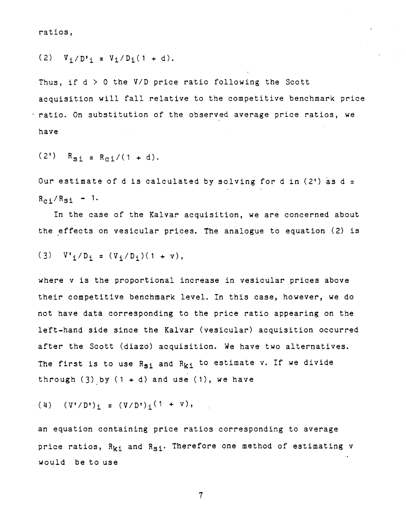ratios,

(2)  $V_i/D'_{i} = V_i/D_i(1 + d)$ .

Thus, if  $d > 0$  the V/D price ratio following the Scott acquisition will fall relative to the competitive benchmark price ratio. On substitution of the observed average price ratios, we have

 $(2')$   $R_{si} = R_{ci}/(1 + d)$ .

Our estimate of d is calculated by solving for d in  $(2')$  as d =  $R_{ci}/R_{Si}$  - 1.

In the case of the Kalvar acquisition, we are concerned about the effects on vesicular prices. The analogue to equation (2) is

(3)  $V'_{i}/D_{i} = (V_{i}/D_{i})(1 + v),$ 

where v is the proportional increase in vesicular prices above their competitive benchmark level. In this case, however, we do not have data corresponding to the price ratio appearing on the left-hand side since the Kalvar (vesicular) acquisition occurred after the Scott (diazo) acquisition. We have two alternatives. The first is to use  $R_{s,i}$  and  $R_{ki}$  to estimate v. If we divide through  $(3)$  by  $(1 + d)$  and use  $(1)$ , we have

(4)  $(V'/D')_i = (V/D')_i (1 + v),$ 

an equation containing price ratios corresponding to average price ratios,  $R_{ki}$  and  $R_{Si}$ . Therefore one method of estimating v would be to use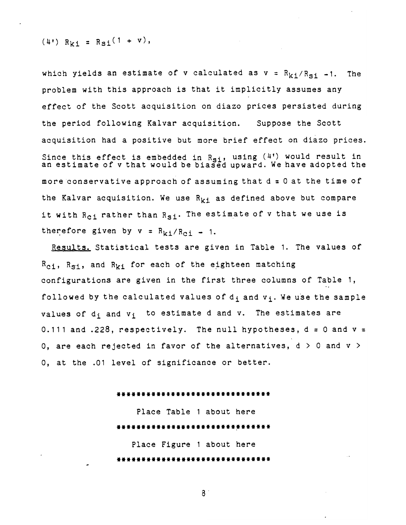$$
(4^{\circ})
$$
 R<sub>ki</sub> = R<sub>si</sub> $(1 + v)$ ,

which yields an estimate of v calculated as  $v = R_{k,i}/R_{qi} - 1$ . The problem with this approach is that it implicitly assumes any effect of the Scott acquisition on diazo prices persisted during the period following Kalvar acquisition. Suppose the Scott acquisition had a positive but more brief effect on diazo prices. Since this effect is embedded in  $R_{\sigma i}$ , using  $(4!)$  would result in ince this effect is embedded in R<sub>si</sub>, using (4') would result in<br>in estimate of v that would be biased upward. We have adopted the more conservative approach of assuming that  $d = 0$  at the time of the Kalvar acquisition. We use  $R_{k,i}$  as defined above but compare it with  $R_{c,i}$  rather than  $R_{ci}$ . The estimate of v that we use is therefore given by  $v = R_{ki}/R_{ci} - 1$ .

Results. Statistical tests are given in Table 1. The values of  $R_{c,i}$ ,  $R_{s,i}$ , and  $R_{ki}$  for each of the eighteen matching configurations are given in the first three columns of Table 1, followed by the calculated values of  $d_i$  and  $v_i$ . We use the sample values of  $d_i$  and  $v_i$  to estimate d and v. The estimates are 0.111 and .228, respectively. The null hypotheses,  $d = 0$  and  $v =$ 0, are each rejected in favor of the alternatives,  $d > 0$  and  $v > 0$ 0, at the .01 level of significance or better.

#### \*\*\*\*\*\*\*\*\*\*\*\*\*\*\*\*\*\*\*\*\*\*\*\*\*\*\*

Place Table 1 about here \*\*\*\*\*\*\*\*\*\*\*\*\*\*\*\*\*\*\*\*\*\*\*\*\*\*\*\* Place Figure 1 about here \*\*\*\*\*\*\*\*\*\*\*\*\*\*\*\*\*\*\*\*\*\*\*\*\*\*\*\*\*

 $8<sup>°</sup>$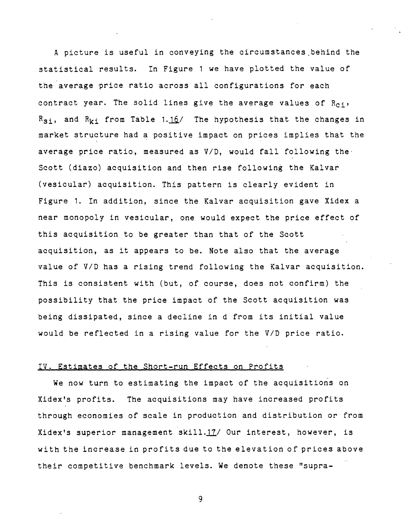A picture is useful in conveying the circumstances ,behind the statistical results. In Figure 1 we have plotted the value of the average 'price ratio across all configurations for each contract year. The solid lines give the average values of  $R_{c,i}$ ,  $R_{S,i}$ , and  $R_{ki}$  from Table 1.16/ The hypothesis that the changes in market structure had a positive impact on prices implies that the average price ratio, measured as *V/D,* would fall following the· Scott (diazo) acquisition and then rise following the Kalvar (vesicular) acquisition. This pattern is clearly evident in Figure 1. In addition, since the Kalvar acquisition gave Xidex a near monopoly in vesicular, one would expect the price effect of this acquisition to be greater than that of the Scott acquisition, as it appears to be. Note also that the average value of *V/D* has a rising trend following the Kalvar acquisition. This is consistent with (but, of course, does not confirm) the possibility that the price impact of the Scott acquisition was being dissipated, since a decline in d from its initial value would be reflected in a rising value for the *V/D* price ratio.

### IV. Estimates of the Short-run Effects on Profits

We now turn to estimating the impact of the acquisitions on Xidex's profits. The acquisitions may have increased profits through economies of scale in production and distribution or from Xidex's superior management skill.17/ Our interest, however, is with the increase in profits due to the elevation of prices above their competitive benchmark levels. We denote these "supra-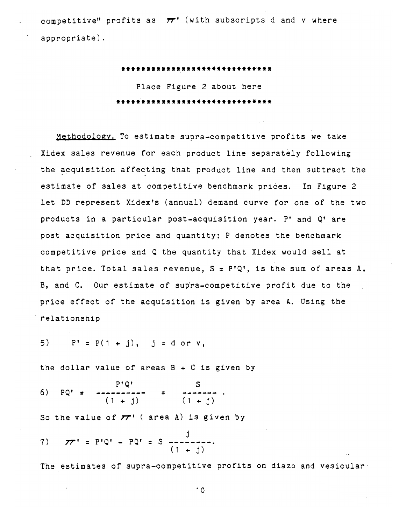competitive" profits as  $\pi$ <sup>*'*</sup> (with subscripts d and v where appropriate).

> **\*\*\*\*\*\*\*\*\*\*\*\*\*\*\*\*\*\*\*\*\*\*\*\*\*\*\*\*\*\***  Place Figure 2 about here **\*\*\*\*\*\*\*\*\*\*\*\*\*\*\*\*\*\*\*\*\*\*\*\*\*\*\*\*\*\*\***

Methodology. To estimate supra-competitive profits we take Xidex sales revenue for each product line separately following the acquisition affecting that product line and then subtract the estimate of sales at competitive benchmark prices. In Figure 2 let DD represent Xidex's (annual) demand curve for one of the two products in a particular post-acquisition year. P' and Q' are post acquisition price and quantity; P denotes the benchmark competitive price and Q the quantity that Xidex would sell at that price. Total sales revenue, S = P'Q', is the sum of areas A, B, and C. Our estimate of supra-competitive profit due to the price effect of the acquisition is given by area A. Using the relationship

5)  $P' = P(1 + j)$ , j = d or v,

the dollar value of areas  $B + C$  is given by

 $P^{\dagger}Q^{\dagger}$ 6) PQ' **= ----------** =  $(1 + i)$   $(1 + i)$ 

So the value of **77'** ( area A) is given by

j 7) *IT'* **=** P'Q' - PQ' = S **--------.**  -------<br>1 + i)

The estimates of supra-competitive profits on diazo and vesicular.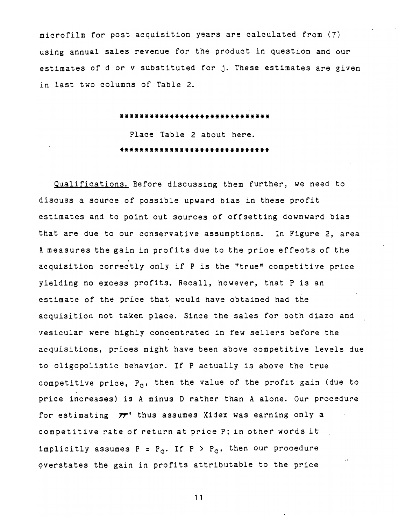microfilm for post acquisition years are calculated from (7) using annual sales revenue for the product in question and our estimates of d or v substituted for j. These estimates are given in last two columns of Table 2.

#### **\*\*\*\*\*\*\*\*\*\*\*\*\*\*\*\*\*\*\*\*\*\*\*\*\*\*\*\*\*\***

Place Table 2 about here. **\*\*\*\*\*\*\*\*\*\*\*\*\*\*\*\*\*\*\*\*\*\*\*\*\*\*\*\*\*\*** 

Qualifications. Before discussing them further, we need to discuss a source of possible upward bias in these profit estimates and to point out sources of offsetting downward bias that are due to our conservative assumptions. In Figure 2, area A measures the gain in profits due to the price effects of the acquisition correctly only if P is the "true" competitive price yielding no excess profits. Recall, however, that P is an estimate of the price that would have obtained had the acquisition not taken place. Since the sales for both diazo and vesicular were highly concentrated in few sellers before the acquisitions, prices might have been above competitive levels due to oligopolistic behavior. If P actually is above the true competitive price,  $P_{c}$ , then the value of the profit gain (due to price increases) is A minus D rather than A alone. Our procedure for estimating *1r'* thus assumes Xidex was earning only a competitive rate of return at price P; in other words it implicitly assumes  $P = P_0$ . If  $P > P_0$ , then our procedure overstates the gain in profits attributable to the price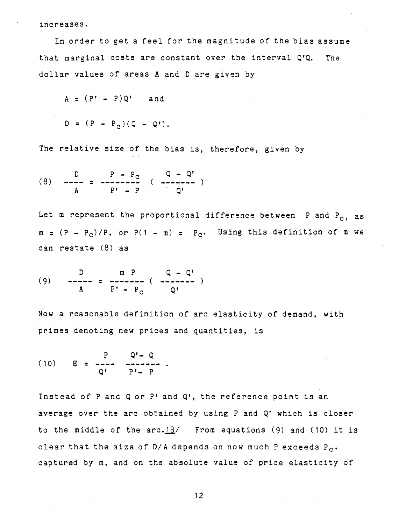increases.

In order to get a feel for the magnitude of the bias assume that marginal costs are constant over the interval Q'Q. The dollar values of areas A and D are given by

$$
A = (P' - P)Q' \quad \text{and} \quad
$$

$$
D = (P - P_{c})(Q - Q').
$$

The relative size of the bias is, therefore, given by

(8) 
$$
\frac{D}{A} = \frac{P - P_C}{P' - P}
$$
  $(\frac{Q - Q'}{-} - \frac{P}{Q'})$ 

Let m represent the proportional difference between P and  $P_{c}$ , as  $m = (P - P_c)/P$ , or  $P(1 - m) = P_c$ . Using this definition of m we can restate (8) as

(9) 
$$
\frac{D}{A} = \frac{m P}{P' - P_C} (\frac{Q - Q'}{Q'})
$$

Now a reasonable definition of arc elasticity of demand, with primes denoting new prices and quantities, is

 $\Omega^{\bullet}$   $\Omega$  $(10)$  E = -Q' P'- P

Instead of P and Q or P' and Q', the reference point is an average over the arc obtained by using P and Q' which is closer to the middle of the  $arc.18/$  From equations (9) and (10) it is clear that the size of  $D/A$  depends on how much P exceeds  $P_{C}$ , captured by m, and on the absolute value of price elasticity of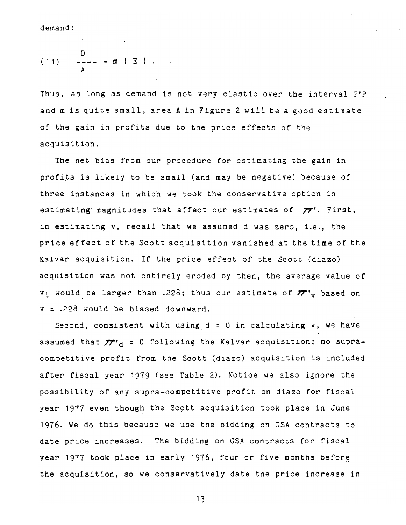demand:

(11) 
$$
\frac{D}{A} = - - = m \mid E \mid.
$$

Thus, as long as demand is not very elastic over the interval P'P and m is quite small, area A in Figure 2 will be a good estimate of the gain in profits due to the price effects of the acquisition.

The net bias from our procedure for estimating the gain in profits is likely to be small (and may be negative) because of three instances in which we took the conservative option in estimating magnitudes that affect our estimates of *7T'.* First, in estimating v, recall that we assumed d was zero, i.e., the price effect of the Scott acquisition vanished at the time of the Kalvar acquisition. If the price effect of the Scott (diazo) acquisition was not entirely eroded by then, the average value of  $v_i$  would be larger than .228; thus our estimate of  $\pi v_y$  based on v = .228 would be biased downward.

Second, consistent with using  $d = 0$  in calculating v, we have assumed that  $\pi_{d}$  = 0 following the Kalvar acquisition; no supracompetitive profit from the Scott (diazo) acquisition is included after fiscal year 1979 (see Table 2). Notice we also ignore the possibility of any supra-competitive profit on diazo for fiscal year 1977 even though the Scott acquisition took place in June 1976. We do this because we use the bidding on GSA contracts to date price increases. The bidding on GSA contracts for fiscal year 1977 took place in early 1976, four or five months before the acquisition, so we conservatively date the price increase in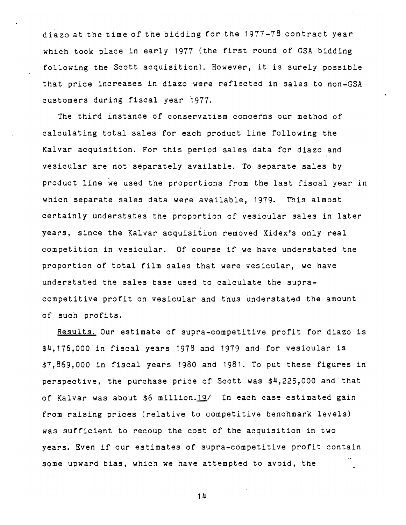diazo at the time of the bidding for the 1977-78 contract year which took place in early 1977 (the first round of GSA bidding following the Scott acquisition). However, it is surely possible that price increases in diazo were reflected in sales to non-GSA customers during fiscal year 1977.

The third instance of conservatism concerns our method of calculating total sales for each product line following the Kalvar acquisition. For this period sales data for diazo and vesicular are not separately available. To separate sales by product line we used the proportions from the last fiscal year in which separate sales data were available, 1979. This almost certainly understates the proportion of vesicular sales in later years, since the Kalvar acquisition removed Xidex's only real competition in vesicular. Of course if we have understated the proportion of total film sales that were vesicular, we have understated the sales base used to calculate the supracompetitive profit on vesicular and thus understated the amount of such profits.

Results. Our estimate of supra-competitive profit for diazo is \$4,176,000"in fiscal years 1978 and 1979 and for vesicular is \$7,869,000 in fiscal years 1980 and 1981. To put these figures in perspective, the purchase price of Scott was \$4,225,000 and that of Kalvar was about \$6 million.19/ In each case estimated gain from raising prices (relative to competitive benchmark levels) was sufficient to recoup the cost of the acquisition in two years. Even if our estimates of supra-competitive profit contain some upward bias, which we have attempted to avoid, the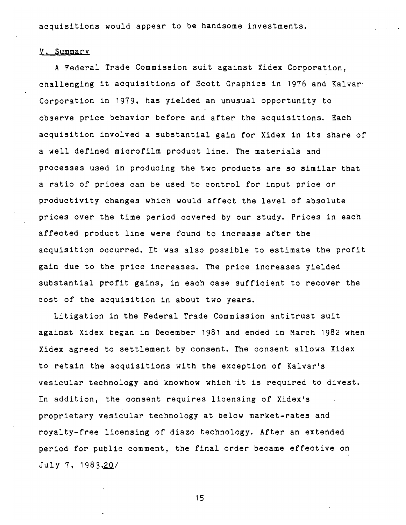acquisitions would appear to be handsome investments.

## y. Summary

A Federal Trade Commission suit against Xidex Corporation, challenging it acquisitions of Scott Graphics in 1976 and Kalvar' Corporation in 1979, has yielded an unusual opportunity to observe price behavior before and after the acquisitions. Each acquisition involved a substantial gain for Xidex in its share of a well defined microfilm product line. The materials and processes used in producing the two products are so similar that a ratio of prices can be used to control for input price or productivity changes which would affect the level of absolute prices over the time period covered by our study. Prices in each affected product line were found to increase after the acquisition occurred. It was also possible to estimate the profit gain due to the price increases. The price increases yielded substantial profit gains, in each case sufficient to recover the cost of the acquisition in about two years.

Litigation in the Federal Trade Commission antitrust suit against Xidex began in December 1981 and ended in March 1982 when Xidex agreed to settlement by consent. The consent allows Xidex to retain the acquisitions with the exception of Kalvar's vesicular technology and knowhow which 'it is required to divest. In addition, the consent requires licensing of Xidex's proprietary vesicular technology at below market-rates and royalty-free licensing of diazo technology. After an extended period for public comment, the final order became effective on July 7, 1983.20/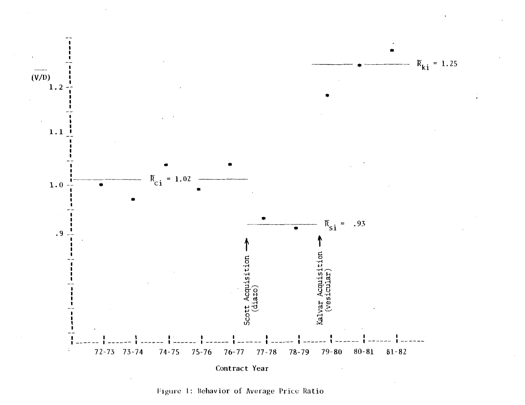

Figure 1: Behavior of Average Price Ratio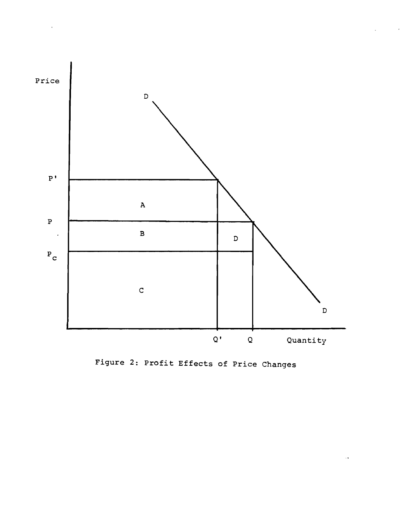

 $\ddot{\phantom{a}}$ 

Figure 2: Profit Effects of Price Changes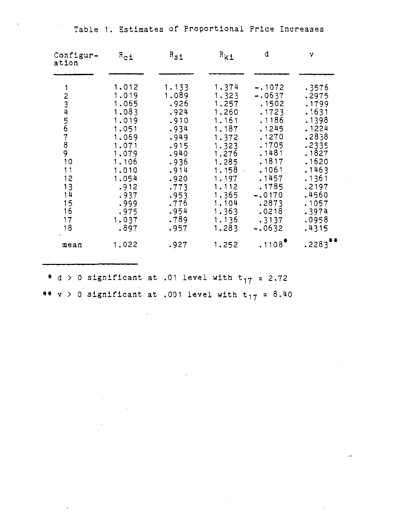Table 1. Estimates of Proportional Price Increases

| Configur-<br>ation                                                  | $R_{c1}$                                                                                                                                                  | $R_{S1}$                                                                                                                                       | $R_{k1}$                                                                                                                                                                    | d                                                                                                                                                                           | v                                                                                                                                                                |
|---------------------------------------------------------------------|-----------------------------------------------------------------------------------------------------------------------------------------------------------|------------------------------------------------------------------------------------------------------------------------------------------------|-----------------------------------------------------------------------------------------------------------------------------------------------------------------------------|-----------------------------------------------------------------------------------------------------------------------------------------------------------------------------|------------------------------------------------------------------------------------------------------------------------------------------------------------------|
| 1<br>23456789<br>10<br>11<br>12<br>13<br>14<br>15<br>16<br>17<br>18 | 1,012<br>1,019<br>1,065<br>1.083<br>1.019<br>1,051<br>1.069<br>1.071<br>1,079<br>1.106<br>1,010<br>1,054<br>.912<br>.937<br>.999<br>.975<br>1,037<br>.897 | 1.133<br>1,089<br>.926<br>.924<br>.910<br>.934<br>.949<br>.915<br>.940<br>.936<br>.914<br>.920<br>.773<br>.953<br>.776<br>.954<br>.789<br>.957 | 1.374<br>1.323<br>1,257<br>1,260<br>1,161<br>1,187<br>1.372<br>1.323<br>1,276<br>1,285<br>1,158<br>$\bar{ }$<br>1,197<br>1,112<br>1.365<br>1,104<br>1.363<br>1.136<br>1,283 | $-.1072$<br>$-.0637$<br>.1502<br>.1723<br>.1186<br>. 1245<br>.1270<br>.1705<br>.1481<br>.1817<br>.1061<br>.1457<br>.1785<br>$-.0170$<br>.2873<br>.0218<br>.3137<br>$-.0632$ | .3576<br>.2975<br>.1799<br>.1631<br>.1398<br>. 1224<br>.2838<br>.2335<br>.1827<br>.1620<br>.1463<br>. 1361<br>.2197<br>.4560<br>.1057<br>.3974<br>.0958<br>.4315 |
| mean                                                                | 1,022                                                                                                                                                     | .927                                                                                                                                           | 1,252                                                                                                                                                                       | $.1108*$                                                                                                                                                                    | .2283'                                                                                                                                                           |

\* d > 0 significant at .01 level with  $t_{17}$  = 2.72 **\*\***  $v > 0$  significant at .001 level with  $t_{17} = 8.40$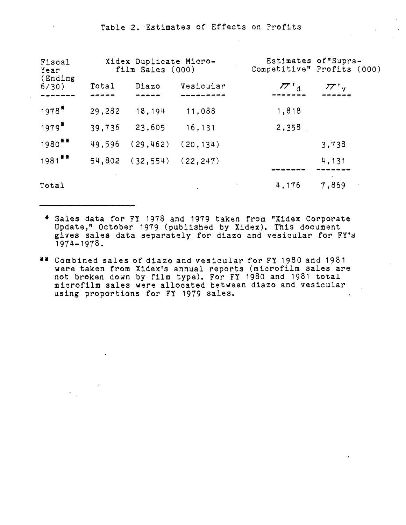## Table 2. Estimates of Effects on Profits

| Fiscal<br>Year<br>(Ending<br>6/30) |        | Xidex Duplicate Micro-<br>film Sales (000) |           | Estimates of"Supra-<br>Competitive" Profits (000) |
|------------------------------------|--------|--------------------------------------------|-----------|---------------------------------------------------|
|                                    | Total  | Diazo                                      | Vesicular | $77'$ <sub>d</sub><br>$77'$ <sub>V</sub>          |
| $1978*$                            | 29,282 | 18,194                                     | 11,088    | 1,818                                             |
| $1979*$                            | 39,736 | 23,605                                     | 16,131    | 2,358                                             |
| $1980$ <sup>**</sup>               | 49,596 | (29, 462)                                  | (20.134)  | 3,738                                             |
| $1981$ **                          |        | $54,802$ (32,554) (22,247)                 |           | 4,131                                             |
| Total                              |        |                                            |           | 7,869<br>4,176                                    |

- \* Sales data for FY 1978 and 1979 taken from "Xidex Corporate Update," October 1979 (published by Xidex). This document<br>gives sales data separately for diazo and vesicular for FY's 1974-1978.
- **••** Combined sales of diazo and vesicular for FY 1980 and 1981 were taken from Xidex's annual reports (microfilm sales are ere taken from Xidex's annual reports (microfilm sales are<br>ot broken down by film type). For FY 1980 and 1981 total ot broken down by film type). For FY 1980 and 1981 total<br>Between sales were allocated between diazo and vesicular microfilm sales were allocated between diazo and vesicular using proportions for FY 1979 sales.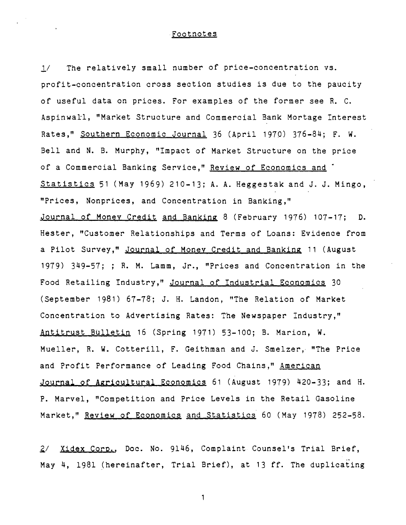#### Footnotes

*l/* The relatively small number of price-concentration vs. profit-concentration cross section studies is due to the paucity of useful data on prices. For examples of the former see R. C. Aspinwall, "Market Structure and Commercial Bank Mortage Interest Rates," Southern Economic Journal 36 (April 1970) 376-84; F. W. Bell and N. B. Murphy, "Impact of Market Structure on the price of a Commercial Banking Service," Review of Economics and Statistics 51 (May 1969) 210-13; A. A. Heggestak and J. J. Mingo, "Prices, Nonprices, and Concentration in Banking," Journal of Money Credit and Banking 8 (February 1976) 107-17; D. Hester, "Customer Relationships and Terms of Loans: Evidence from a Pilot Survey," Journal of Money Credit and Banking 11 (August 1979) 349-57; ; R. M. Lamm, Jr., "Prices and Concentration in the Food Retailing Industry," Journal of Industrial Economics 30 (September 1981) 67-78; J. H. Landon, "The Relation of Market Concentration to Advertising Rates: The Newspaper Industry," Antitrust BUlletin 16 (Spring 1971) 53-100; B. Marion, W. Mueller, R. W. Cotterill, F. Geithman and J. Smelzer, "The Price and Profit Performance of Leading Food Chains," American Journal of Agricultural Economics 61 (August 1979) 420-33; and H. P. Marvel, "Competition and Price Levels in the Retail Gasoline Market." Review of Economics and Statistics 60 (May 1978) 252-58.

2/ Xidex Corp., Doc. No. 9146, Complaint Counsel's Trial Brief, May 4, 1981 (hereinafter, Trial Brief), at 13 ff. The duplicating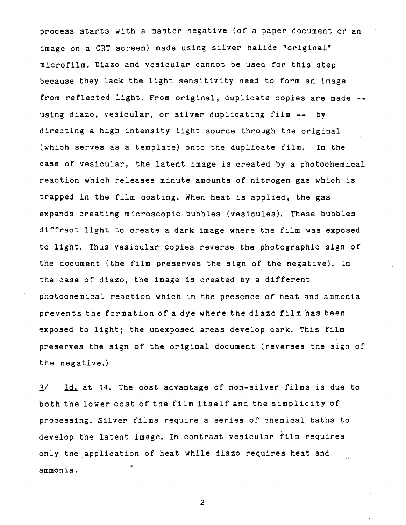process starts with a master negative (of a paper document or an image on a CRT screen) made using silver halide "original" microfilm. Diazo and vesicular cannot be used for this step because they lack the light sensitivity need to form an image from reflected light. From original, duplicate copies are made -using diazo, vesicular, or silver duplicating film **--** by directing a high intensity light source through the original (which serves as a template) onto the duplicate film. In the case of vesicular, the latent image is created by a photochemical reaction which releases minute amounts of nitrogen gas which is trapped in the film coating. When heat is applied, the gas expands creating microscopic bubbles (vesicules). These bubbles diffract light to create a dark image where the film was exposed to light. Thus vesicular copies reverse the photographic sign of the document (the film preserves the sign of the negative). In the case of diazo, the image is created by a different photochemical reaction which in the presence of heat and ammonia prevents the formation of a dye where the diazo film has been exposed to light; the unexposed areas develop dark. This film preserves the sign of the original document (reverses the sign of the negative.)

 $\frac{1}{4}$ . Id. at 14. The cost advantage of non-silver films is due to both the lower cost of the film itself and the simplicity of processing. Silver films require a series of chemical baths to develop the latent image. In contrast vesicular film requires only the application of heat while diazo requires heat and ammonia.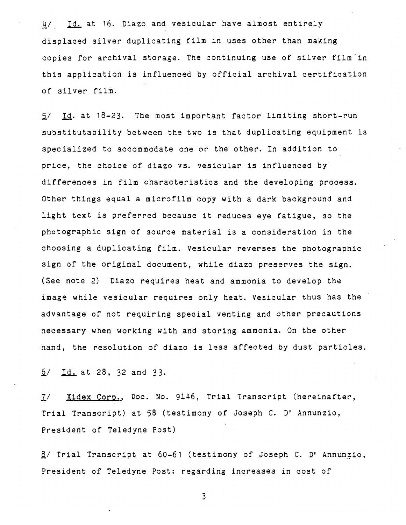4/ Id. at 16. Diazo and vesicular have almost entirely displaced silver duplicating film in uses other than making copies for archival storage. The continuing use of silver film'in this application is influenced by official archival certification of silver film.

5/ Id. at 18-23. The most important factor limiting short-run substitutability between the two is that duplicating equipment is specialized to accommodate one or the other. In addition to price, the choice of diazo vs. vesicular is influenced by differences in film characteristics and the developing process. Other things equal a microfilm copy with a dark background and light text *is* preferred because it reduces eye fatigue, so the photographic sign of source material *is* a consideration in the choosing a duplicating film. Vesicular reverses the photographic sign of the original document, while diazo preserves the sign. (See note 2) Diazo requires heat and ammonia to develop the image while vesicular requires only heat. Vesicular thus has the advantage of not requiring special venting and other precautions necessary when working with and storing ammonia. On the other hand, the resolution of diazo is less affected by dust particles.

*Q/* ~ at 28, 32 and 33.

2/ Xidex Corp., Doc. No. 9146, Trial Transcript (hereinafter, Trial Transcript) at 58 (testimony of Joseph C. D' Annunzio, President of Teledyne Post)

 $8/$  Trial Transcript at 60-61 (testimony of Joseph C. D' Annunzio, President of Teledyne Post: regarding increases in cost of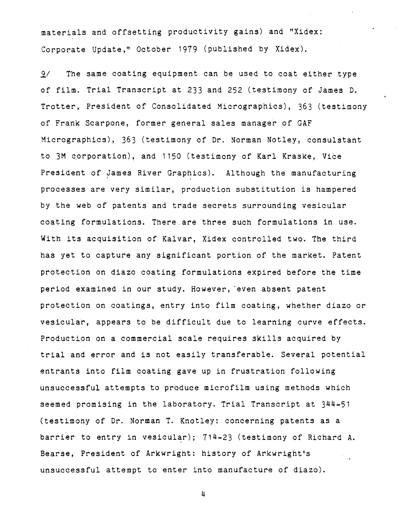materials and offsetting productivity gains) and "Xidex: Corporate Update," October 1979 (published by Xidex).

9/ The same coating equipment can be used to coat either type of film. Trial Transcript at 233 and 252 (testimony of James D. Trotter, President of Consolidated Micrographics), 363 (testimony of Frank Scarpone, former general sales manager of GAF Micrographics), 363 (testimony of Dr. Norman Notley, consulstant to 3M corporation), and 1150 (testimony of Karl Kraske, Vice President of James River Graphics). Although the manufacturing processes are very similar, production substitution is hampered by the web of patents and trade secrets surrounding vesicular coating formulations. There.are three such formulations in use. With its acquisition of Kalvar, Xidex controlled two. The third has yet to capture any significant portion of the market. Patent protection on diazo coating formulations expired before the time period examined in our study. However, even absent patent protection on coatings, entry into film coating, whether diazo or vesicular, appears to be difficult due to learning curve effects. Production on a commercial scale requires skills acquired by trial and error and is not easily transferable. Several potential entrants into film coating gave up in frustration following unsuccessful attempts to produce microfilm using methods which seemed promising in the laboratory. Trial Transcript at 344-51 (testimony of Dr. Norman T. Knotley: concerning patents as a barrier to entry in vesicular); 714-23 (testimony of Richard A. Bearse, President of Arkwright: history of Arkwright's unsuccessful attempt to enter into manufacture of diazo).

 $\frac{1}{2}$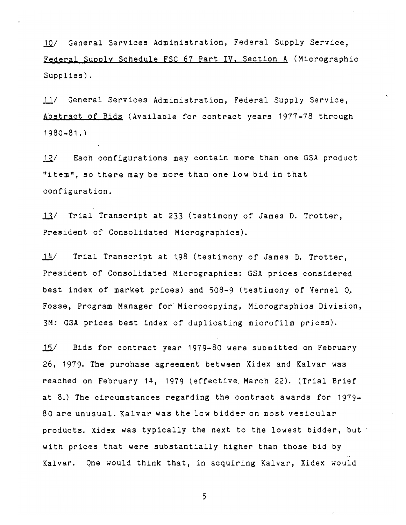10/ General Services Administration, Federal Supply Service, Federal Supply Schedule FSC 67 Part IV, Section A (Micrographic Supplies).

11/ General Services Administration, Federal Supply Service, Abstract of Bid§ (Available for contract years 1977-78 through 1980-81.)

 $12/$  Each configurations may contain more than one GSA product "item", so there may be more than one low bid in that configuration.

13/ Trial Transcript at 233 (testimony of James D. Trotter, President of Consolidated Micrographics).

*141* Trial Transcript at 198 (testimony of James D. Trotter, President of Consolidated Micrographics: GSA prices considered best index of market prices) and 508-9 (testimony of Vernel 0. Fosse, Program Manager for Microcopying, Micrographics Division, 3M: GSA prices best index of duplicating microfilm prices).

 $15/$  Bids for contract year 1979-80 were submitted on February 26, 1979. The purchase agreement between Xidex and Kalvar was reached on February 14, 1979 (effective. March 22). (Trial Brief at 8.) The circumstances regarding the contract awards for 1979- 80 are unusual. Kalvar was the low bidder on most vesicular products. Xidex was typically the next to the lowest bidder, but with prices that were substantially higher than those bid by Kalvar. One would think that, in acquiring Kalvar, Xidex would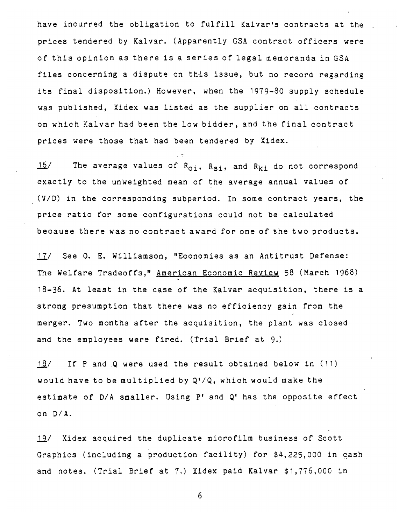have incurred the obligation to fulfill Kalvar's contracts at the prices tendered by Kalvar. (Apparently GSA contract officers were of this opinion as there is a series of legal memoranda in GSA files concerning a dispute on this issue, but no record regarding its final disposition.) However, when the 1979-80 supply schedule was published, Xidex was listed as the supplier on all contracts on which Kalvar had been the low bidder, and the final contract prices were those that had been tendered by Xidex.

 $\frac{16}{\sqrt{10}}$  The average values of R<sub>ci</sub>, R<sub>si</sub>, and R<sub>ki</sub> do not correspond exactly to the unweighted mean of the average annual values of (V/D) in the corresponding subperiod. In some contract years, the price ratio for some configurations could not be calculated because there was no contract award for one of the two products.

17/ See O. E. Williamson, "Economies as an Antitrust Defense: The Welfare Tradeoffs," American Economic Review 58 (March 1968) 18-36. At least in the case of the Kalvar acquisition, there is a strong presumption that there was no efficiency gain from the merger. Two months after the acquisition, the plant was closed and the employees were fired. (Trial Brief at 9.)

18/ If P and Q were used the result obtained below in (11) would have to be multiplied by Q'/Q, which would make the estimate of D/A smaller. Using P' and Q' has the opposite effect on D/A.

19/ Xidex acquired the duplicate microfilm business of Scott Graphics (including a production facility) for \$4,225,000 in cash and notes. (Trial Brief at 7.) Xidex paid Kalvar \$1,776,000 in